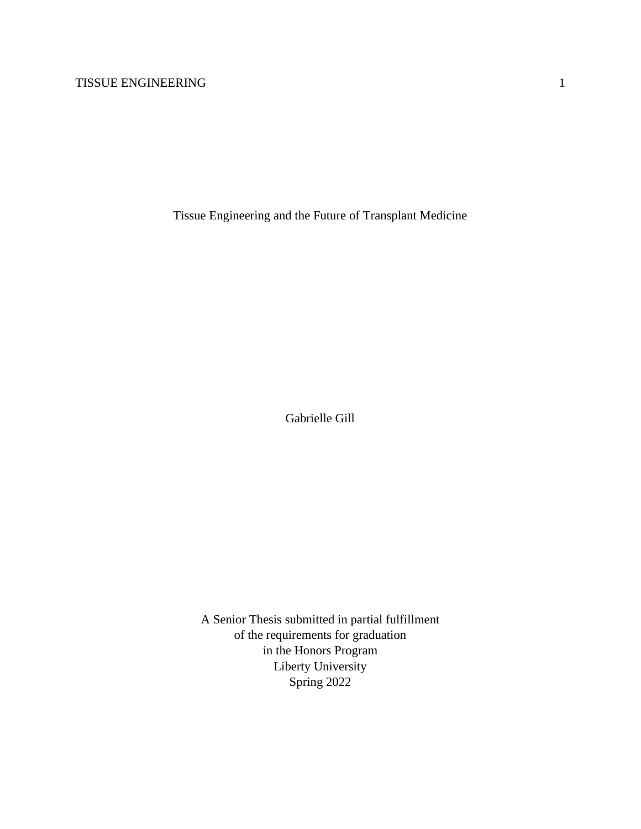Tissue Engineering and the Future of Transplant Medicine

Gabrielle Gill

A Senior Thesis submitted in partial fulfillment of the requirements for graduation in the Honors Program Liberty University Spring 2022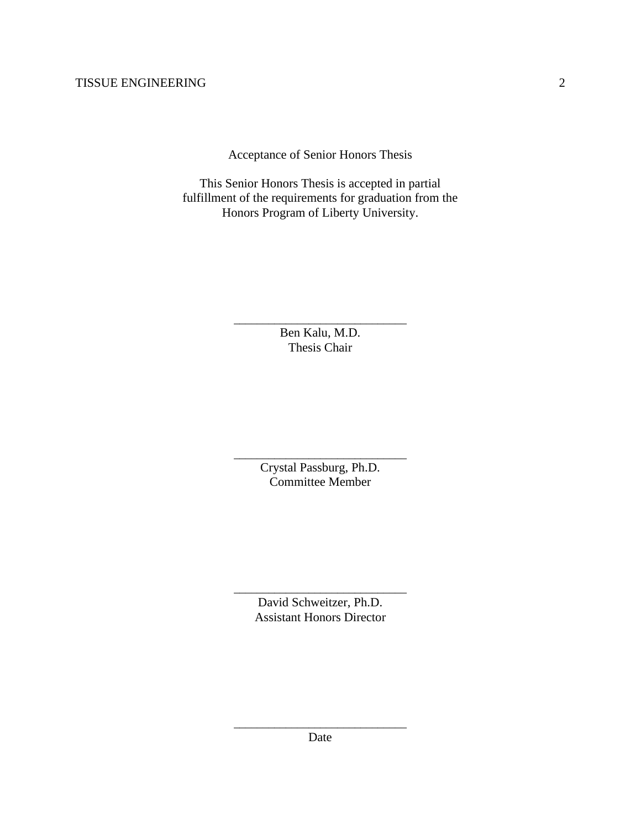Acceptance of Senior Honors Thesis

This Senior Honors Thesis is accepted in partial fulfillment of the requirements for graduation from the Honors Program of Liberty University.

> \_\_\_\_\_\_\_\_\_\_\_\_\_\_\_\_\_\_\_\_\_\_\_\_\_\_\_\_\_\_ Ben Kalu, M.D. Thesis Chair

> \_\_\_\_\_\_\_\_\_\_\_\_\_\_\_\_\_\_\_\_\_\_\_\_\_\_\_\_\_\_ Crystal Passburg, Ph.D. Committee Member

> \_\_\_\_\_\_\_\_\_\_\_\_\_\_\_\_\_\_\_\_\_\_\_\_\_\_\_\_\_\_ David Schweitzer, Ph.D. Assistant Honors Director

\_\_\_\_\_\_\_\_\_\_\_\_\_\_\_\_\_\_\_\_\_\_\_\_\_\_\_\_\_\_ Date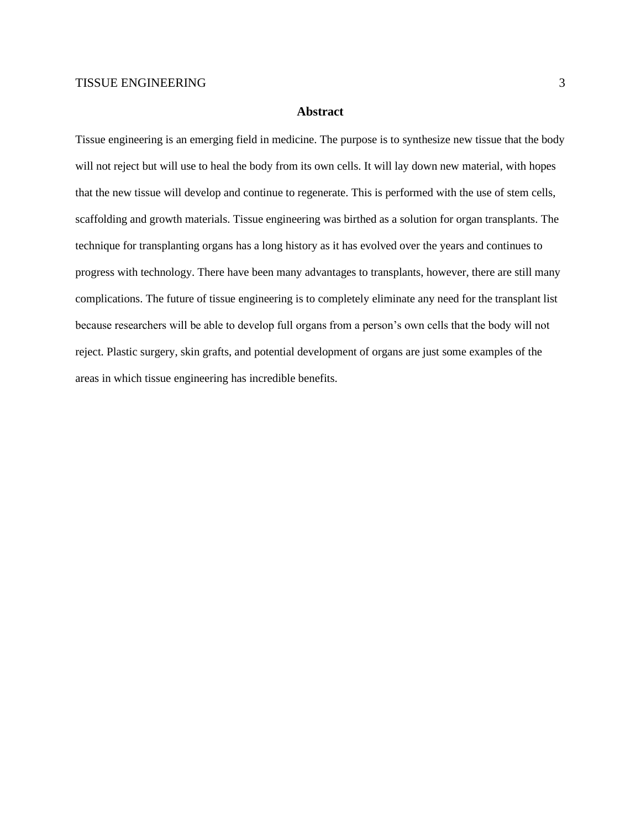#### **Abstract**

Tissue engineering is an emerging field in medicine. The purpose is to synthesize new tissue that the body will not reject but will use to heal the body from its own cells. It will lay down new material, with hopes that the new tissue will develop and continue to regenerate. This is performed with the use of stem cells, scaffolding and growth materials. Tissue engineering was birthed as a solution for organ transplants. The technique for transplanting organs has a long history as it has evolved over the years and continues to progress with technology. There have been many advantages to transplants, however, there are still many complications. The future of tissue engineering is to completely eliminate any need for the transplant list because researchers will be able to develop full organs from a person's own cells that the body will not reject. Plastic surgery, skin grafts, and potential development of organs are just some examples of the areas in which tissue engineering has incredible benefits.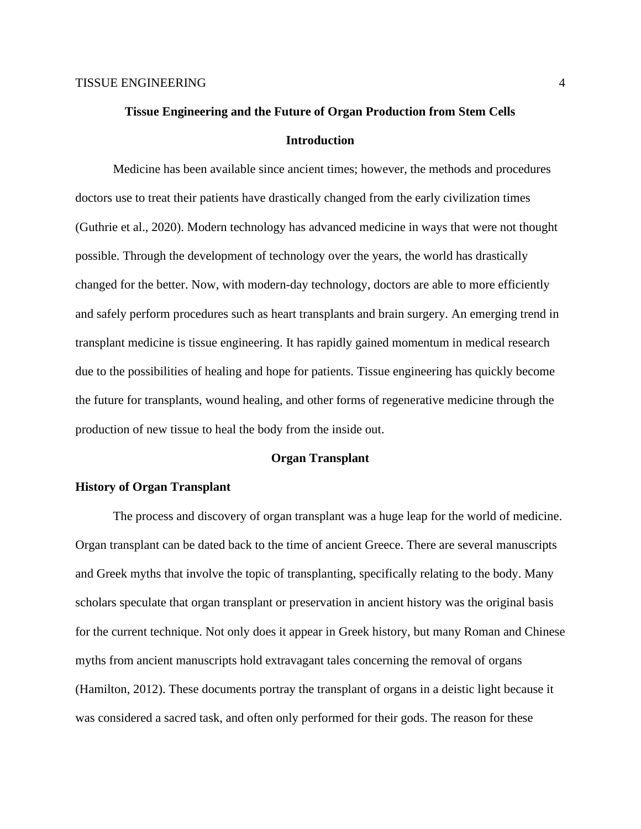# **Tissue Engineering and the Future of Organ Production from Stem Cells Introduction**

Medicine has been available since ancient times; however, the methods and procedures doctors use to treat their patients have drastically changed from the early civilization times (Guthrie et al., 2020). Modern technology has advanced medicine in ways that were not thought possible. Through the development of technology over the years, the world has drastically changed for the better. Now, with modern-day technology, doctors are able to more efficiently and safely perform procedures such as heart transplants and brain surgery. An emerging trend in transplant medicine is tissue engineering. It has rapidly gained momentum in medical research due to the possibilities of healing and hope for patients. Tissue engineering has quickly become the future for transplants, wound healing, and other forms of regenerative medicine through the production of new tissue to heal the body from the inside out.

# **Organ Transplant**

# **History of Organ Transplant**

The process and discovery of organ transplant was a huge leap for the world of medicine. Organ transplant can be dated back to the time of ancient Greece. There are several manuscripts and Greek myths that involve the topic of transplanting, specifically relating to the body. Many scholars speculate that organ transplant or preservation in ancient history was the original basis for the current technique. Not only does it appear in Greek history, but many Roman and Chinese myths from ancient manuscripts hold extravagant tales concerning the removal of organs (Hamilton, 2012). These documents portray the transplant of organs in a deistic light because it was considered a sacred task, and often only performed for their gods. The reason for these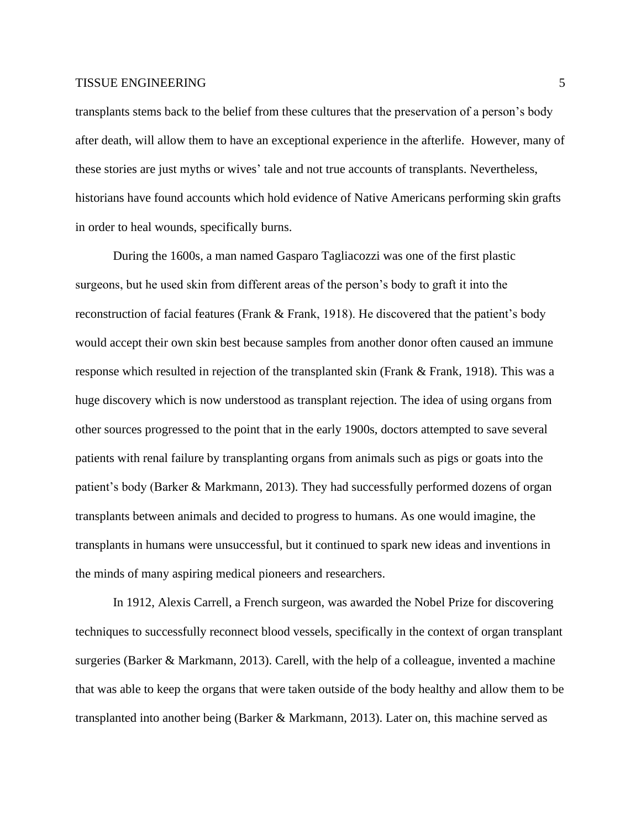transplants stems back to the belief from these cultures that the preservation of a person's body after death, will allow them to have an exceptional experience in the afterlife. However, many of these stories are just myths or wives' tale and not true accounts of transplants. Nevertheless, historians have found accounts which hold evidence of Native Americans performing skin grafts in order to heal wounds, specifically burns.

During the 1600s, a man named Gasparo Tagliacozzi was one of the first plastic surgeons, but he used skin from different areas of the person's body to graft it into the reconstruction of facial features (Frank & Frank, 1918). He discovered that the patient's body would accept their own skin best because samples from another donor often caused an immune response which resulted in rejection of the transplanted skin (Frank & Frank, 1918). This was a huge discovery which is now understood as transplant rejection. The idea of using organs from other sources progressed to the point that in the early 1900s, doctors attempted to save several patients with renal failure by transplanting organs from animals such as pigs or goats into the patient's body (Barker & Markmann, 2013). They had successfully performed dozens of organ transplants between animals and decided to progress to humans. As one would imagine, the transplants in humans were unsuccessful, but it continued to spark new ideas and inventions in the minds of many aspiring medical pioneers and researchers.

In 1912, Alexis Carrell, a French surgeon, was awarded the Nobel Prize for discovering techniques to successfully reconnect blood vessels, specifically in the context of organ transplant surgeries (Barker & Markmann, 2013). Carell, with the help of a colleague, invented a machine that was able to keep the organs that were taken outside of the body healthy and allow them to be transplanted into another being (Barker & Markmann, 2013). Later on, this machine served as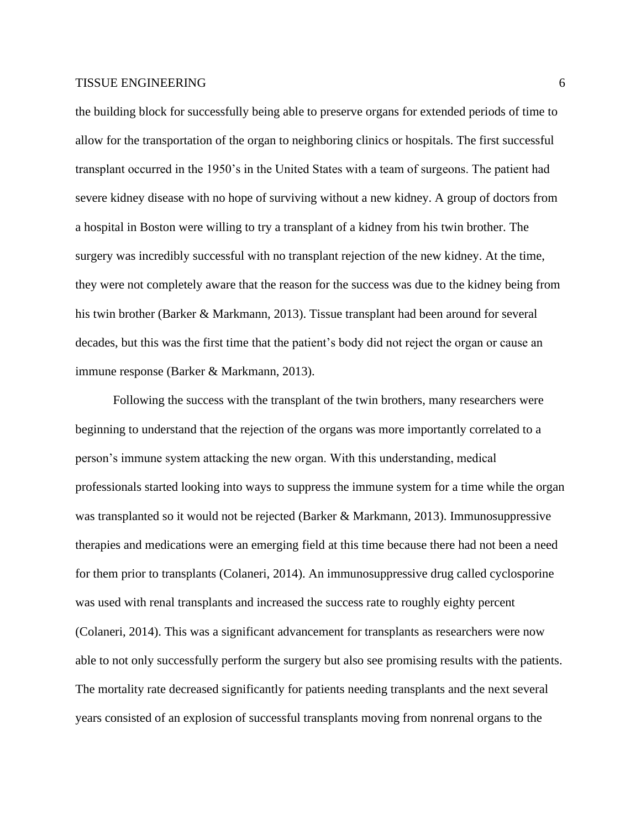the building block for successfully being able to preserve organs for extended periods of time to allow for the transportation of the organ to neighboring clinics or hospitals. The first successful transplant occurred in the 1950's in the United States with a team of surgeons. The patient had severe kidney disease with no hope of surviving without a new kidney. A group of doctors from a hospital in Boston were willing to try a transplant of a kidney from his twin brother. The surgery was incredibly successful with no transplant rejection of the new kidney. At the time, they were not completely aware that the reason for the success was due to the kidney being from his twin brother (Barker & Markmann, 2013). Tissue transplant had been around for several decades, but this was the first time that the patient's body did not reject the organ or cause an immune response (Barker & Markmann, 2013).

Following the success with the transplant of the twin brothers, many researchers were beginning to understand that the rejection of the organs was more importantly correlated to a person's immune system attacking the new organ. With this understanding, medical professionals started looking into ways to suppress the immune system for a time while the organ was transplanted so it would not be rejected (Barker & Markmann, 2013). Immunosuppressive therapies and medications were an emerging field at this time because there had not been a need for them prior to transplants (Colaneri, 2014). An immunosuppressive drug called cyclosporine was used with renal transplants and increased the success rate to roughly eighty percent (Colaneri, 2014). This was a significant advancement for transplants as researchers were now able to not only successfully perform the surgery but also see promising results with the patients. The mortality rate decreased significantly for patients needing transplants and the next several years consisted of an explosion of successful transplants moving from nonrenal organs to the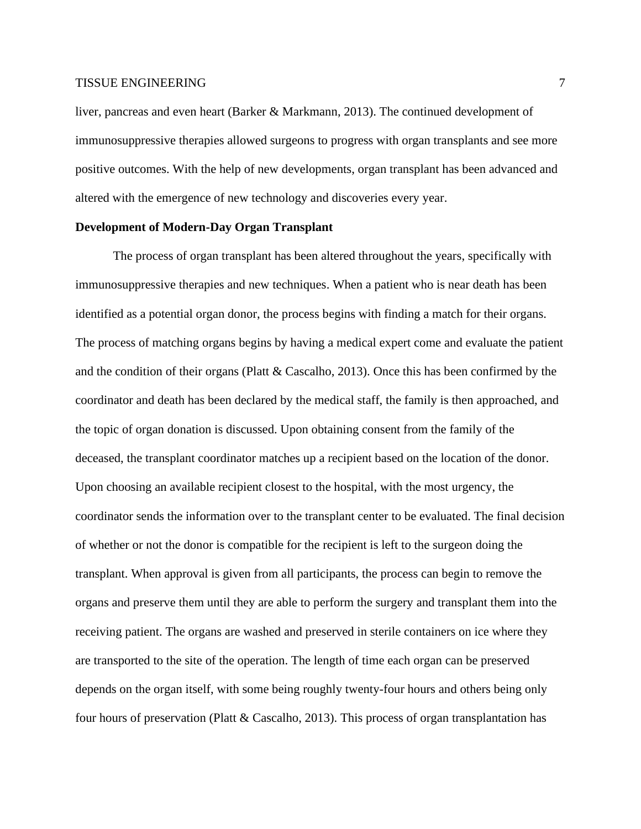liver, pancreas and even heart (Barker & Markmann, 2013). The continued development of immunosuppressive therapies allowed surgeons to progress with organ transplants and see more positive outcomes. With the help of new developments, organ transplant has been advanced and altered with the emergence of new technology and discoveries every year.

# **Development of Modern-Day Organ Transplant**

The process of organ transplant has been altered throughout the years, specifically with immunosuppressive therapies and new techniques. When a patient who is near death has been identified as a potential organ donor, the process begins with finding a match for their organs. The process of matching organs begins by having a medical expert come and evaluate the patient and the condition of their organs (Platt & Cascalho, 2013). Once this has been confirmed by the coordinator and death has been declared by the medical staff, the family is then approached, and the topic of organ donation is discussed. Upon obtaining consent from the family of the deceased, the transplant coordinator matches up a recipient based on the location of the donor. Upon choosing an available recipient closest to the hospital, with the most urgency, the coordinator sends the information over to the transplant center to be evaluated. The final decision of whether or not the donor is compatible for the recipient is left to the surgeon doing the transplant. When approval is given from all participants, the process can begin to remove the organs and preserve them until they are able to perform the surgery and transplant them into the receiving patient. The organs are washed and preserved in sterile containers on ice where they are transported to the site of the operation. The length of time each organ can be preserved depends on the organ itself, with some being roughly twenty-four hours and others being only four hours of preservation (Platt  $\&$  Cascalho, 2013). This process of organ transplantation has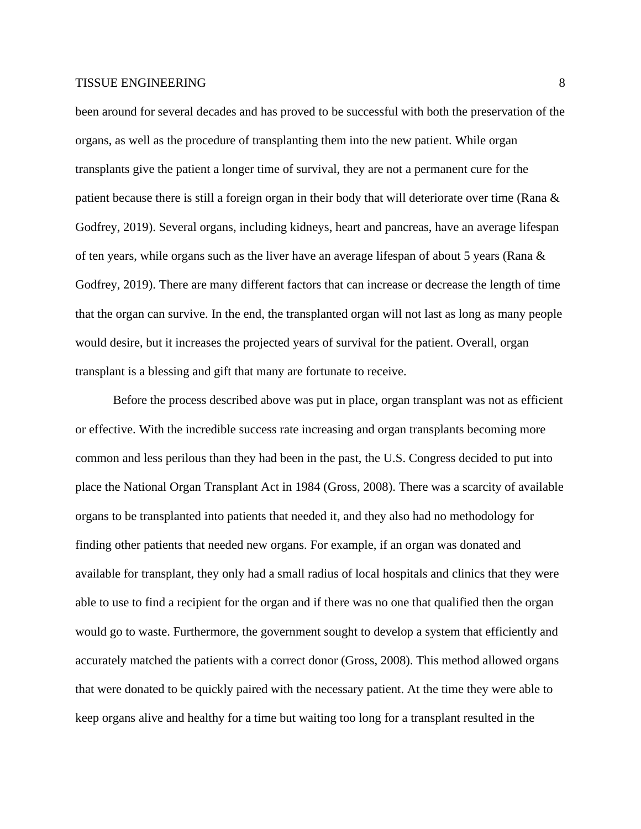been around for several decades and has proved to be successful with both the preservation of the organs, as well as the procedure of transplanting them into the new patient. While organ transplants give the patient a longer time of survival, they are not a permanent cure for the patient because there is still a foreign organ in their body that will deteriorate over time (Rana & Godfrey, 2019). Several organs, including kidneys, heart and pancreas, have an average lifespan of ten years, while organs such as the liver have an average lifespan of about 5 years (Rana & Godfrey, 2019). There are many different factors that can increase or decrease the length of time that the organ can survive. In the end, the transplanted organ will not last as long as many people would desire, but it increases the projected years of survival for the patient. Overall, organ transplant is a blessing and gift that many are fortunate to receive.

Before the process described above was put in place, organ transplant was not as efficient or effective. With the incredible success rate increasing and organ transplants becoming more common and less perilous than they had been in the past, the U.S. Congress decided to put into place the National Organ Transplant Act in 1984 (Gross, 2008). There was a scarcity of available organs to be transplanted into patients that needed it, and they also had no methodology for finding other patients that needed new organs. For example, if an organ was donated and available for transplant, they only had a small radius of local hospitals and clinics that they were able to use to find a recipient for the organ and if there was no one that qualified then the organ would go to waste. Furthermore, the government sought to develop a system that efficiently and accurately matched the patients with a correct donor (Gross, 2008). This method allowed organs that were donated to be quickly paired with the necessary patient. At the time they were able to keep organs alive and healthy for a time but waiting too long for a transplant resulted in the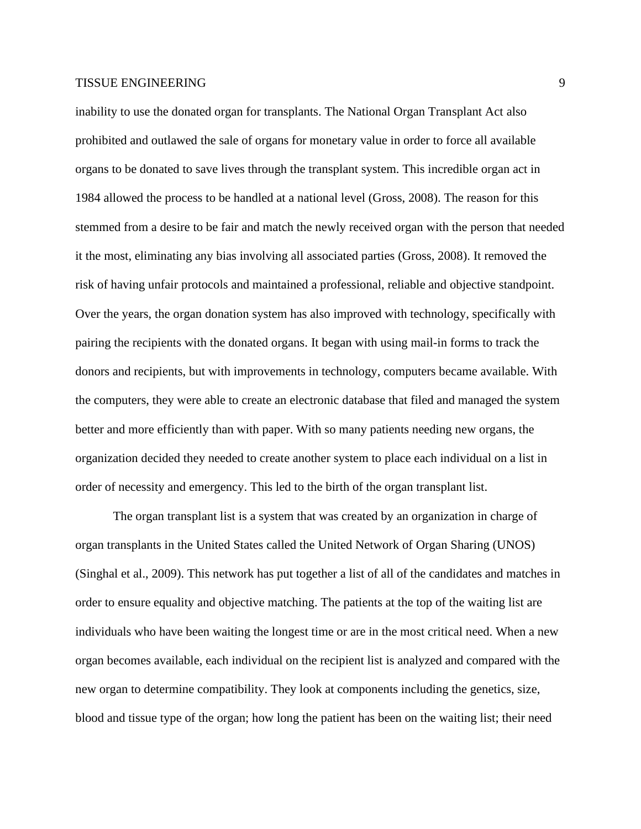inability to use the donated organ for transplants. The National Organ Transplant Act also prohibited and outlawed the sale of organs for monetary value in order to force all available organs to be donated to save lives through the transplant system. This incredible organ act in 1984 allowed the process to be handled at a national level (Gross, 2008). The reason for this stemmed from a desire to be fair and match the newly received organ with the person that needed it the most, eliminating any bias involving all associated parties (Gross, 2008). It removed the risk of having unfair protocols and maintained a professional, reliable and objective standpoint. Over the years, the organ donation system has also improved with technology, specifically with pairing the recipients with the donated organs. It began with using mail-in forms to track the donors and recipients, but with improvements in technology, computers became available. With the computers, they were able to create an electronic database that filed and managed the system better and more efficiently than with paper. With so many patients needing new organs, the organization decided they needed to create another system to place each individual on a list in order of necessity and emergency. This led to the birth of the organ transplant list.

The organ transplant list is a system that was created by an organization in charge of organ transplants in the United States called the United Network of Organ Sharing (UNOS) (Singhal et al., 2009). This network has put together a list of all of the candidates and matches in order to ensure equality and objective matching. The patients at the top of the waiting list are individuals who have been waiting the longest time or are in the most critical need. When a new organ becomes available, each individual on the recipient list is analyzed and compared with the new organ to determine compatibility. They look at components including the genetics, size, blood and tissue type of the organ; how long the patient has been on the waiting list; their need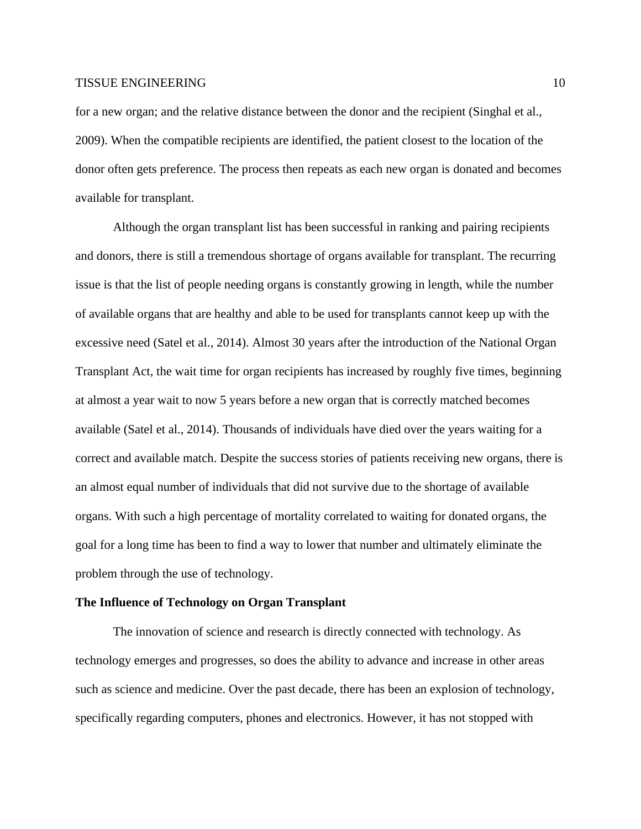for a new organ; and the relative distance between the donor and the recipient (Singhal et al., 2009). When the compatible recipients are identified, the patient closest to the location of the donor often gets preference. The process then repeats as each new organ is donated and becomes available for transplant.

Although the organ transplant list has been successful in ranking and pairing recipients and donors, there is still a tremendous shortage of organs available for transplant. The recurring issue is that the list of people needing organs is constantly growing in length, while the number of available organs that are healthy and able to be used for transplants cannot keep up with the excessive need (Satel et al., 2014). Almost 30 years after the introduction of the National Organ Transplant Act, the wait time for organ recipients has increased by roughly five times, beginning at almost a year wait to now 5 years before a new organ that is correctly matched becomes available (Satel et al., 2014). Thousands of individuals have died over the years waiting for a correct and available match. Despite the success stories of patients receiving new organs, there is an almost equal number of individuals that did not survive due to the shortage of available organs. With such a high percentage of mortality correlated to waiting for donated organs, the goal for a long time has been to find a way to lower that number and ultimately eliminate the problem through the use of technology.

# **The Influence of Technology on Organ Transplant**

The innovation of science and research is directly connected with technology. As technology emerges and progresses, so does the ability to advance and increase in other areas such as science and medicine. Over the past decade, there has been an explosion of technology, specifically regarding computers, phones and electronics. However, it has not stopped with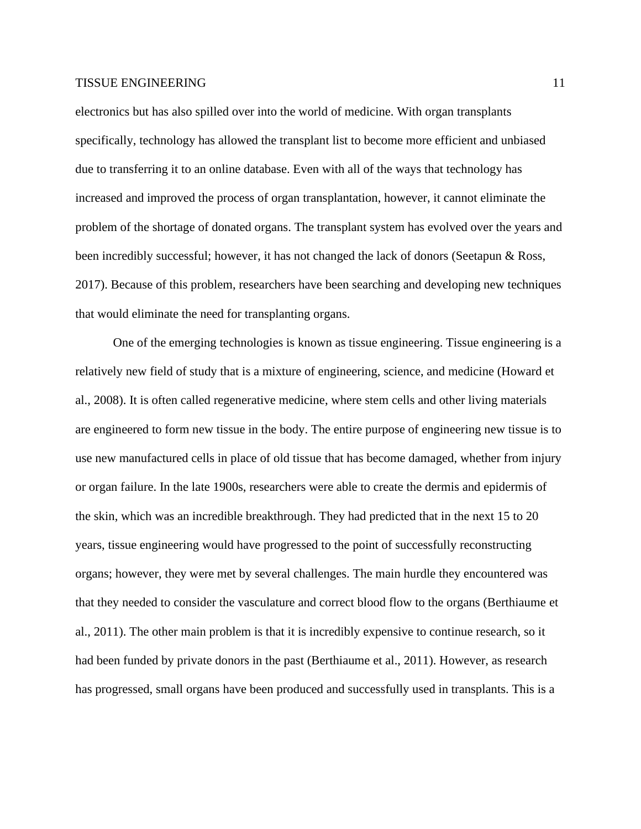electronics but has also spilled over into the world of medicine. With organ transplants specifically, technology has allowed the transplant list to become more efficient and unbiased due to transferring it to an online database. Even with all of the ways that technology has increased and improved the process of organ transplantation, however, it cannot eliminate the problem of the shortage of donated organs. The transplant system has evolved over the years and been incredibly successful; however, it has not changed the lack of donors (Seetapun & Ross, 2017). Because of this problem, researchers have been searching and developing new techniques that would eliminate the need for transplanting organs.

One of the emerging technologies is known as tissue engineering. Tissue engineering is a relatively new field of study that is a mixture of engineering, science, and medicine (Howard et al., 2008). It is often called regenerative medicine, where stem cells and other living materials are engineered to form new tissue in the body. The entire purpose of engineering new tissue is to use new manufactured cells in place of old tissue that has become damaged, whether from injury or organ failure. In the late 1900s, researchers were able to create the dermis and epidermis of the skin, which was an incredible breakthrough. They had predicted that in the next 15 to 20 years, tissue engineering would have progressed to the point of successfully reconstructing organs; however, they were met by several challenges. The main hurdle they encountered was that they needed to consider the vasculature and correct blood flow to the organs (Berthiaume et al., 2011). The other main problem is that it is incredibly expensive to continue research, so it had been funded by private donors in the past (Berthiaume et al., 2011). However, as research has progressed, small organs have been produced and successfully used in transplants. This is a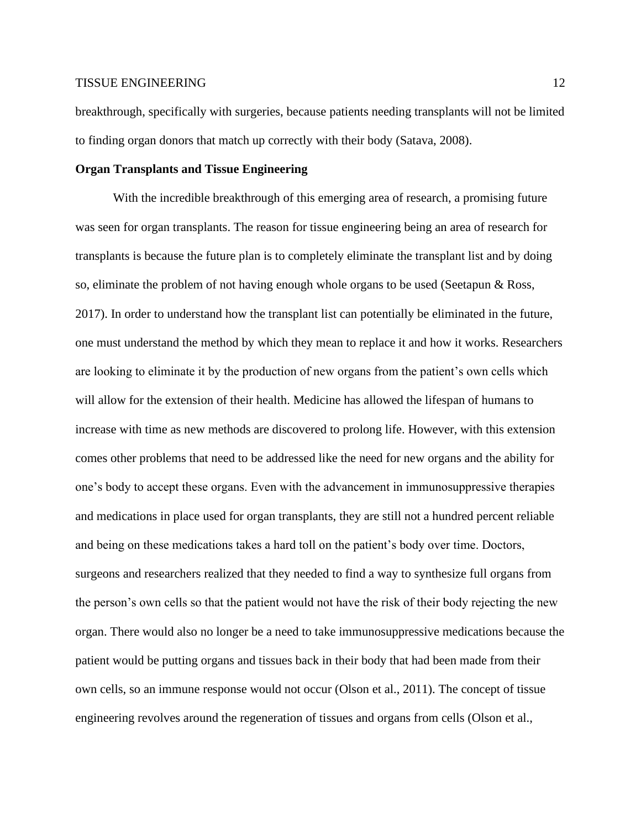breakthrough, specifically with surgeries, because patients needing transplants will not be limited to finding organ donors that match up correctly with their body (Satava, 2008).

# **Organ Transplants and Tissue Engineering**

With the incredible breakthrough of this emerging area of research, a promising future was seen for organ transplants. The reason for tissue engineering being an area of research for transplants is because the future plan is to completely eliminate the transplant list and by doing so, eliminate the problem of not having enough whole organs to be used (Seetapun & Ross, 2017). In order to understand how the transplant list can potentially be eliminated in the future, one must understand the method by which they mean to replace it and how it works. Researchers are looking to eliminate it by the production of new organs from the patient's own cells which will allow for the extension of their health. Medicine has allowed the lifespan of humans to increase with time as new methods are discovered to prolong life. However, with this extension comes other problems that need to be addressed like the need for new organs and the ability for one's body to accept these organs. Even with the advancement in immunosuppressive therapies and medications in place used for organ transplants, they are still not a hundred percent reliable and being on these medications takes a hard toll on the patient's body over time. Doctors, surgeons and researchers realized that they needed to find a way to synthesize full organs from the person's own cells so that the patient would not have the risk of their body rejecting the new organ. There would also no longer be a need to take immunosuppressive medications because the patient would be putting organs and tissues back in their body that had been made from their own cells, so an immune response would not occur (Olson et al., 2011). The concept of tissue engineering revolves around the regeneration of tissues and organs from cells (Olson et al.,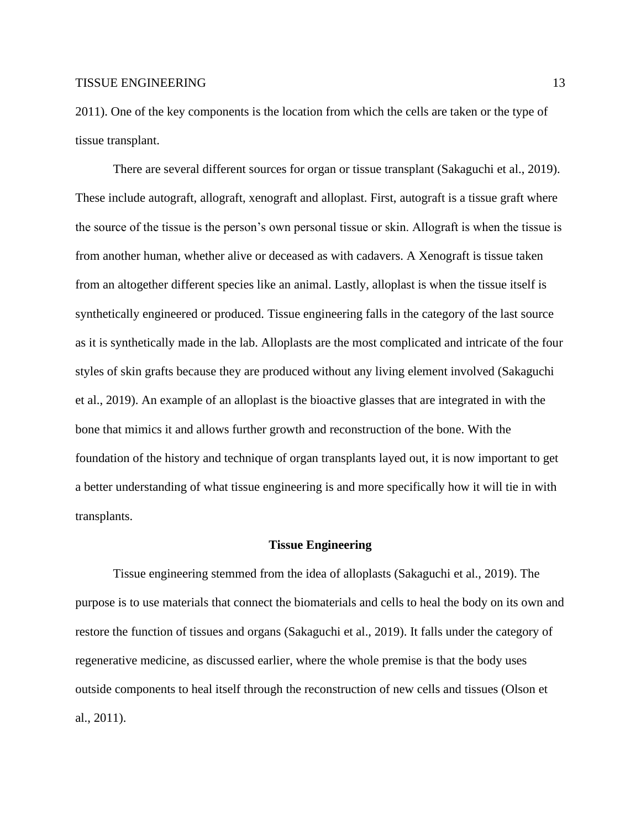2011). One of the key components is the location from which the cells are taken or the type of tissue transplant.

There are several different sources for organ or tissue transplant (Sakaguchi et al., 2019). These include autograft, allograft, xenograft and alloplast. First, autograft is a tissue graft where the source of the tissue is the person's own personal tissue or skin. Allograft is when the tissue is from another human, whether alive or deceased as with cadavers. A Xenograft is tissue taken from an altogether different species like an animal. Lastly, alloplast is when the tissue itself is synthetically engineered or produced. Tissue engineering falls in the category of the last source as it is synthetically made in the lab. Alloplasts are the most complicated and intricate of the four styles of skin grafts because they are produced without any living element involved (Sakaguchi et al., 2019). An example of an alloplast is the bioactive glasses that are integrated in with the bone that mimics it and allows further growth and reconstruction of the bone. With the foundation of the history and technique of organ transplants layed out, it is now important to get a better understanding of what tissue engineering is and more specifically how it will tie in with transplants.

#### **Tissue Engineering**

Tissue engineering stemmed from the idea of alloplasts (Sakaguchi et al., 2019). The purpose is to use materials that connect the biomaterials and cells to heal the body on its own and restore the function of tissues and organs (Sakaguchi et al., 2019). It falls under the category of regenerative medicine, as discussed earlier, where the whole premise is that the body uses outside components to heal itself through the reconstruction of new cells and tissues (Olson et al., 2011).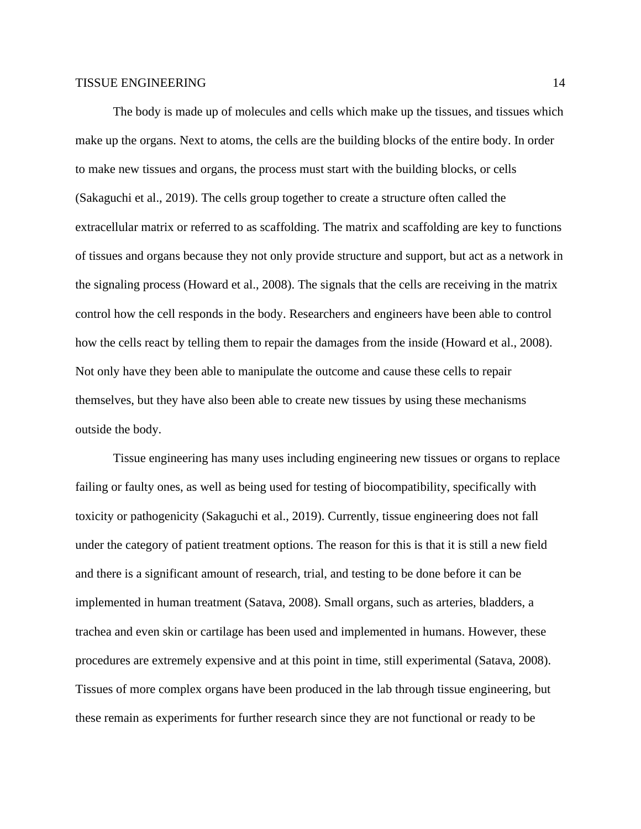The body is made up of molecules and cells which make up the tissues, and tissues which make up the organs. Next to atoms, the cells are the building blocks of the entire body. In order to make new tissues and organs, the process must start with the building blocks, or cells (Sakaguchi et al., 2019). The cells group together to create a structure often called the extracellular matrix or referred to as scaffolding. The matrix and scaffolding are key to functions of tissues and organs because they not only provide structure and support, but act as a network in the signaling process (Howard et al., 2008). The signals that the cells are receiving in the matrix control how the cell responds in the body. Researchers and engineers have been able to control how the cells react by telling them to repair the damages from the inside (Howard et al., 2008). Not only have they been able to manipulate the outcome and cause these cells to repair themselves, but they have also been able to create new tissues by using these mechanisms outside the body.

Tissue engineering has many uses including engineering new tissues or organs to replace failing or faulty ones, as well as being used for testing of biocompatibility, specifically with toxicity or pathogenicity (Sakaguchi et al., 2019). Currently, tissue engineering does not fall under the category of patient treatment options. The reason for this is that it is still a new field and there is a significant amount of research, trial, and testing to be done before it can be implemented in human treatment (Satava, 2008). Small organs, such as arteries, bladders, a trachea and even skin or cartilage has been used and implemented in humans. However, these procedures are extremely expensive and at this point in time, still experimental (Satava, 2008). Tissues of more complex organs have been produced in the lab through tissue engineering, but these remain as experiments for further research since they are not functional or ready to be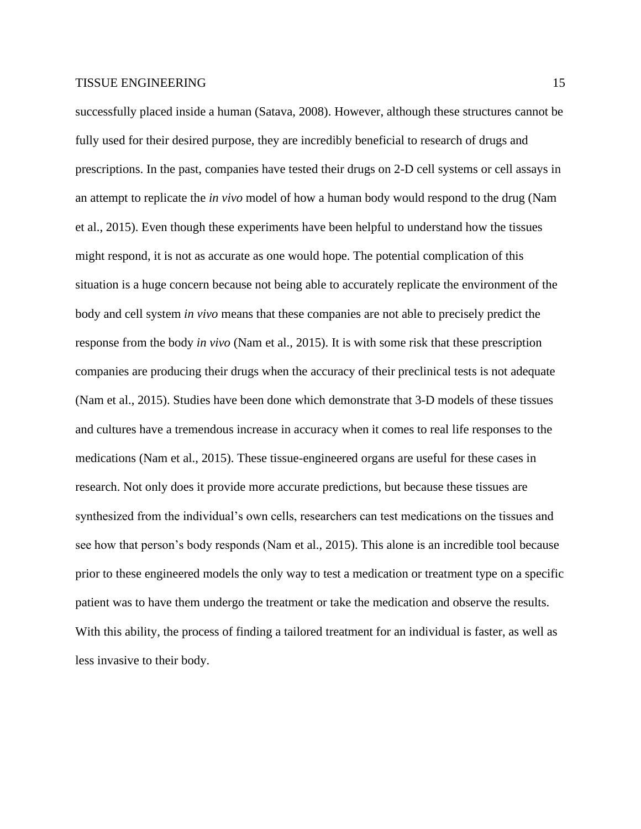successfully placed inside a human (Satava, 2008). However, although these structures cannot be fully used for their desired purpose, they are incredibly beneficial to research of drugs and prescriptions. In the past, companies have tested their drugs on 2-D cell systems or cell assays in an attempt to replicate the *in vivo* model of how a human body would respond to the drug (Nam et al., 2015). Even though these experiments have been helpful to understand how the tissues might respond, it is not as accurate as one would hope. The potential complication of this situation is a huge concern because not being able to accurately replicate the environment of the body and cell system *in vivo* means that these companies are not able to precisely predict the response from the body *in vivo* (Nam et al., 2015). It is with some risk that these prescription companies are producing their drugs when the accuracy of their preclinical tests is not adequate (Nam et al., 2015). Studies have been done which demonstrate that 3-D models of these tissues and cultures have a tremendous increase in accuracy when it comes to real life responses to the medications (Nam et al., 2015). These tissue-engineered organs are useful for these cases in research. Not only does it provide more accurate predictions, but because these tissues are synthesized from the individual's own cells, researchers can test medications on the tissues and see how that person's body responds (Nam et al., 2015). This alone is an incredible tool because prior to these engineered models the only way to test a medication or treatment type on a specific patient was to have them undergo the treatment or take the medication and observe the results. With this ability, the process of finding a tailored treatment for an individual is faster, as well as less invasive to their body.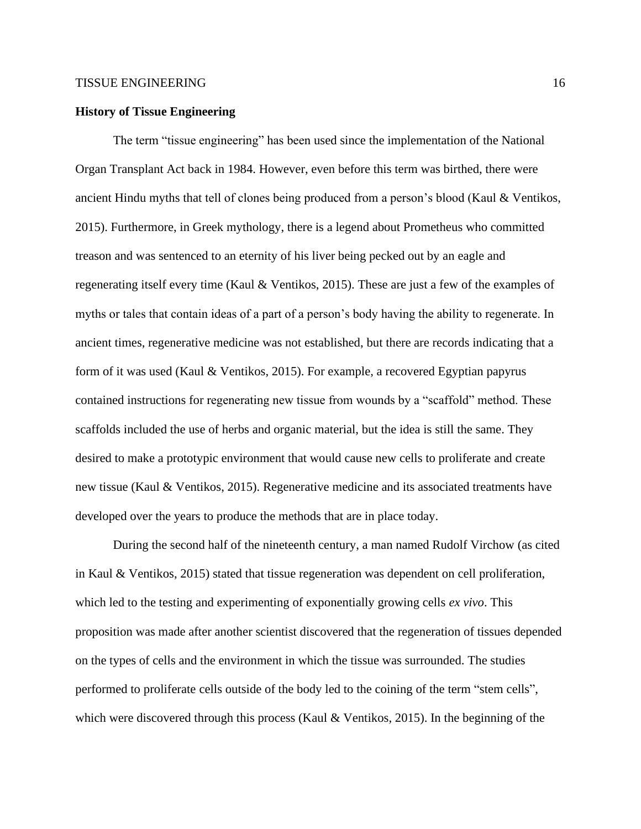#### **History of Tissue Engineering**

The term "tissue engineering" has been used since the implementation of the National Organ Transplant Act back in 1984. However, even before this term was birthed, there were ancient Hindu myths that tell of clones being produced from a person's blood (Kaul & Ventikos, 2015). Furthermore, in Greek mythology, there is a legend about Prometheus who committed treason and was sentenced to an eternity of his liver being pecked out by an eagle and regenerating itself every time (Kaul & Ventikos, 2015). These are just a few of the examples of myths or tales that contain ideas of a part of a person's body having the ability to regenerate. In ancient times, regenerative medicine was not established, but there are records indicating that a form of it was used (Kaul & Ventikos, 2015). For example, a recovered Egyptian papyrus contained instructions for regenerating new tissue from wounds by a "scaffold" method. These scaffolds included the use of herbs and organic material, but the idea is still the same. They desired to make a prototypic environment that would cause new cells to proliferate and create new tissue (Kaul & Ventikos, 2015). Regenerative medicine and its associated treatments have developed over the years to produce the methods that are in place today.

During the second half of the nineteenth century, a man named Rudolf Virchow (as cited in Kaul & Ventikos, 2015) stated that tissue regeneration was dependent on cell proliferation, which led to the testing and experimenting of exponentially growing cells *ex vivo*. This proposition was made after another scientist discovered that the regeneration of tissues depended on the types of cells and the environment in which the tissue was surrounded. The studies performed to proliferate cells outside of the body led to the coining of the term "stem cells", which were discovered through this process (Kaul  $\&$  Ventikos, 2015). In the beginning of the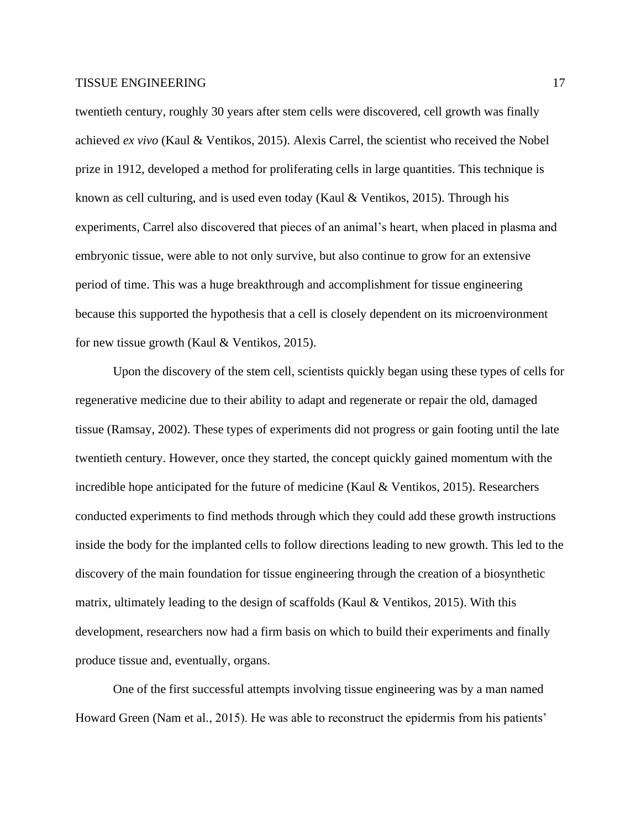twentieth century, roughly 30 years after stem cells were discovered, cell growth was finally achieved *ex vivo* (Kaul & Ventikos, 2015). Alexis Carrel, the scientist who received the Nobel prize in 1912, developed a method for proliferating cells in large quantities. This technique is known as cell culturing, and is used even today (Kaul & Ventikos, 2015). Through his experiments, Carrel also discovered that pieces of an animal's heart, when placed in plasma and embryonic tissue, were able to not only survive, but also continue to grow for an extensive period of time. This was a huge breakthrough and accomplishment for tissue engineering because this supported the hypothesis that a cell is closely dependent on its microenvironment for new tissue growth (Kaul & Ventikos, 2015).

Upon the discovery of the stem cell, scientists quickly began using these types of cells for regenerative medicine due to their ability to adapt and regenerate or repair the old, damaged tissue (Ramsay, 2002). These types of experiments did not progress or gain footing until the late twentieth century. However, once they started, the concept quickly gained momentum with the incredible hope anticipated for the future of medicine (Kaul & Ventikos, 2015). Researchers conducted experiments to find methods through which they could add these growth instructions inside the body for the implanted cells to follow directions leading to new growth. This led to the discovery of the main foundation for tissue engineering through the creation of a biosynthetic matrix, ultimately leading to the design of scaffolds (Kaul  $\&$  Ventikos, 2015). With this development, researchers now had a firm basis on which to build their experiments and finally produce tissue and, eventually, organs.

One of the first successful attempts involving tissue engineering was by a man named Howard Green (Nam et al., 2015). He was able to reconstruct the epidermis from his patients'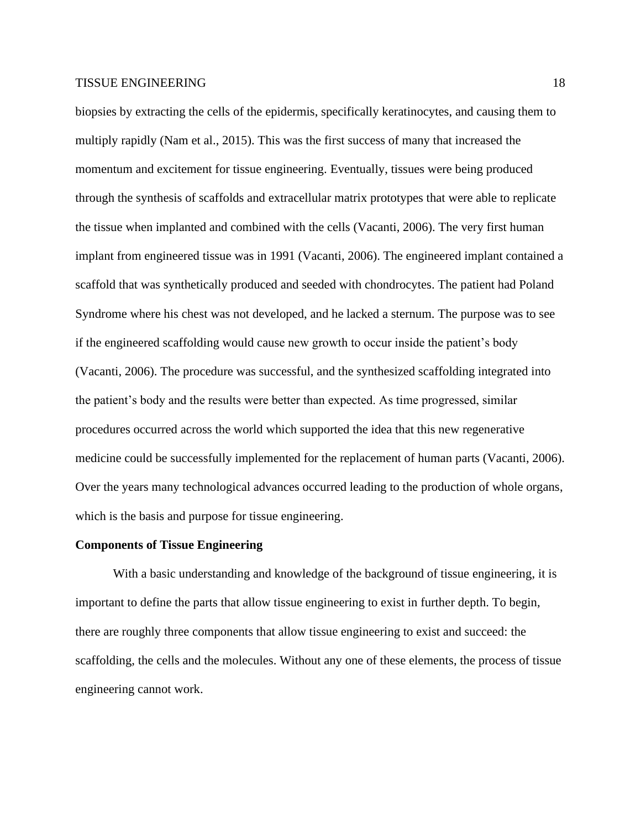biopsies by extracting the cells of the epidermis, specifically keratinocytes, and causing them to multiply rapidly (Nam et al., 2015). This was the first success of many that increased the momentum and excitement for tissue engineering. Eventually, tissues were being produced through the synthesis of scaffolds and extracellular matrix prototypes that were able to replicate the tissue when implanted and combined with the cells (Vacanti, 2006). The very first human implant from engineered tissue was in 1991 (Vacanti, 2006). The engineered implant contained a scaffold that was synthetically produced and seeded with chondrocytes. The patient had Poland Syndrome where his chest was not developed, and he lacked a sternum. The purpose was to see if the engineered scaffolding would cause new growth to occur inside the patient's body (Vacanti, 2006). The procedure was successful, and the synthesized scaffolding integrated into the patient's body and the results were better than expected. As time progressed, similar procedures occurred across the world which supported the idea that this new regenerative medicine could be successfully implemented for the replacement of human parts (Vacanti, 2006). Over the years many technological advances occurred leading to the production of whole organs, which is the basis and purpose for tissue engineering.

#### **Components of Tissue Engineering**

With a basic understanding and knowledge of the background of tissue engineering, it is important to define the parts that allow tissue engineering to exist in further depth. To begin, there are roughly three components that allow tissue engineering to exist and succeed: the scaffolding, the cells and the molecules. Without any one of these elements, the process of tissue engineering cannot work.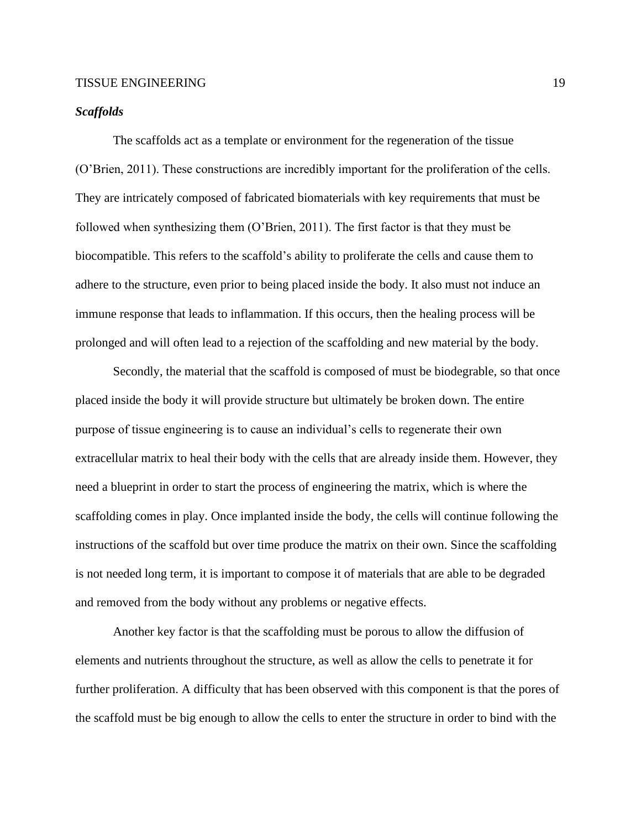# *Scaffolds*

The scaffolds act as a template or environment for the regeneration of the tissue (O'Brien, 2011). These constructions are incredibly important for the proliferation of the cells. They are intricately composed of fabricated biomaterials with key requirements that must be followed when synthesizing them (O'Brien, 2011). The first factor is that they must be biocompatible. This refers to the scaffold's ability to proliferate the cells and cause them to adhere to the structure, even prior to being placed inside the body. It also must not induce an immune response that leads to inflammation. If this occurs, then the healing process will be prolonged and will often lead to a rejection of the scaffolding and new material by the body.

Secondly, the material that the scaffold is composed of must be biodegrable, so that once placed inside the body it will provide structure but ultimately be broken down. The entire purpose of tissue engineering is to cause an individual's cells to regenerate their own extracellular matrix to heal their body with the cells that are already inside them. However, they need a blueprint in order to start the process of engineering the matrix, which is where the scaffolding comes in play. Once implanted inside the body, the cells will continue following the instructions of the scaffold but over time produce the matrix on their own. Since the scaffolding is not needed long term, it is important to compose it of materials that are able to be degraded and removed from the body without any problems or negative effects.

Another key factor is that the scaffolding must be porous to allow the diffusion of elements and nutrients throughout the structure, as well as allow the cells to penetrate it for further proliferation. A difficulty that has been observed with this component is that the pores of the scaffold must be big enough to allow the cells to enter the structure in order to bind with the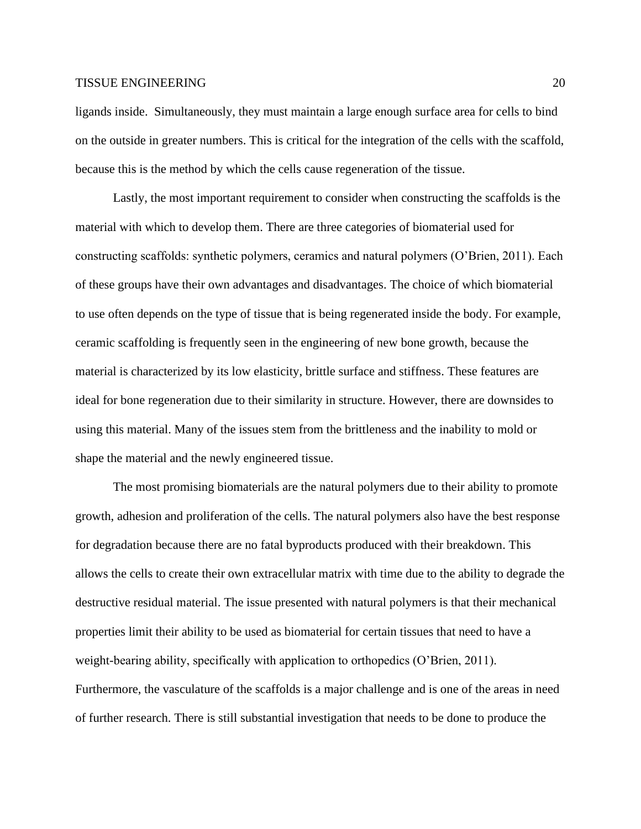ligands inside. Simultaneously, they must maintain a large enough surface area for cells to bind on the outside in greater numbers. This is critical for the integration of the cells with the scaffold, because this is the method by which the cells cause regeneration of the tissue.

Lastly, the most important requirement to consider when constructing the scaffolds is the material with which to develop them. There are three categories of biomaterial used for constructing scaffolds: synthetic polymers, ceramics and natural polymers (O'Brien, 2011). Each of these groups have their own advantages and disadvantages. The choice of which biomaterial to use often depends on the type of tissue that is being regenerated inside the body. For example, ceramic scaffolding is frequently seen in the engineering of new bone growth, because the material is characterized by its low elasticity, brittle surface and stiffness. These features are ideal for bone regeneration due to their similarity in structure. However, there are downsides to using this material. Many of the issues stem from the brittleness and the inability to mold or shape the material and the newly engineered tissue.

The most promising biomaterials are the natural polymers due to their ability to promote growth, adhesion and proliferation of the cells. The natural polymers also have the best response for degradation because there are no fatal byproducts produced with their breakdown. This allows the cells to create their own extracellular matrix with time due to the ability to degrade the destructive residual material. The issue presented with natural polymers is that their mechanical properties limit their ability to be used as biomaterial for certain tissues that need to have a weight-bearing ability, specifically with application to orthopedics (O'Brien, 2011). Furthermore, the vasculature of the scaffolds is a major challenge and is one of the areas in need of further research. There is still substantial investigation that needs to be done to produce the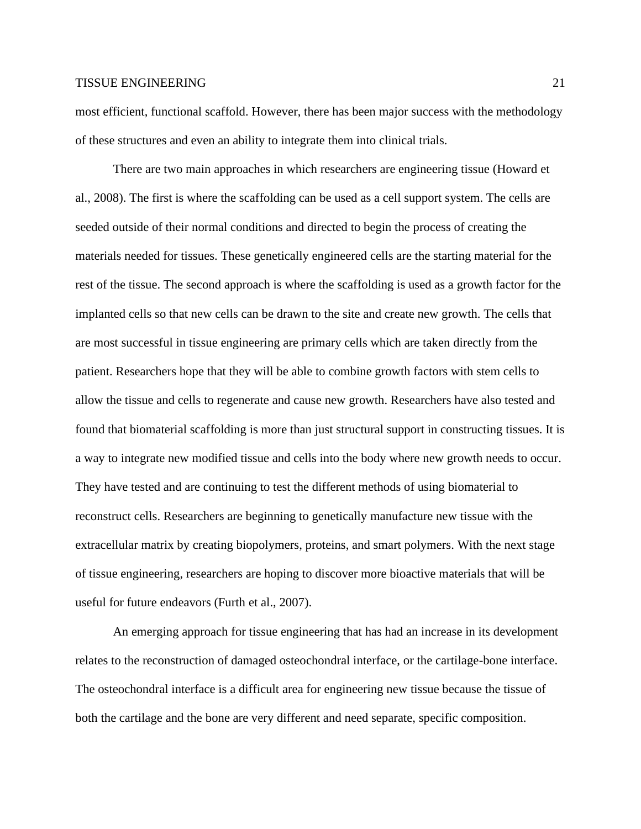most efficient, functional scaffold. However, there has been major success with the methodology of these structures and even an ability to integrate them into clinical trials.

There are two main approaches in which researchers are engineering tissue (Howard et al., 2008). The first is where the scaffolding can be used as a cell support system. The cells are seeded outside of their normal conditions and directed to begin the process of creating the materials needed for tissues. These genetically engineered cells are the starting material for the rest of the tissue. The second approach is where the scaffolding is used as a growth factor for the implanted cells so that new cells can be drawn to the site and create new growth. The cells that are most successful in tissue engineering are primary cells which are taken directly from the patient. Researchers hope that they will be able to combine growth factors with stem cells to allow the tissue and cells to regenerate and cause new growth. Researchers have also tested and found that biomaterial scaffolding is more than just structural support in constructing tissues. It is a way to integrate new modified tissue and cells into the body where new growth needs to occur. They have tested and are continuing to test the different methods of using biomaterial to reconstruct cells. Researchers are beginning to genetically manufacture new tissue with the extracellular matrix by creating biopolymers, proteins, and smart polymers. With the next stage of tissue engineering, researchers are hoping to discover more bioactive materials that will be useful for future endeavors (Furth et al., 2007).

An emerging approach for tissue engineering that has had an increase in its development relates to the reconstruction of damaged osteochondral interface, or the cartilage-bone interface. The osteochondral interface is a difficult area for engineering new tissue because the tissue of both the cartilage and the bone are very different and need separate, specific composition.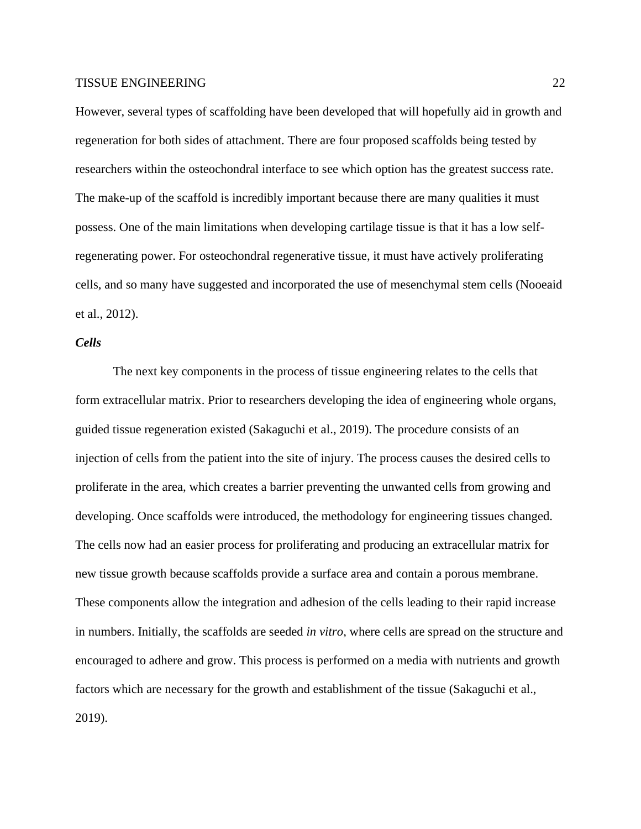However, several types of scaffolding have been developed that will hopefully aid in growth and regeneration for both sides of attachment. There are four proposed scaffolds being tested by researchers within the osteochondral interface to see which option has the greatest success rate. The make-up of the scaffold is incredibly important because there are many qualities it must possess. One of the main limitations when developing cartilage tissue is that it has a low selfregenerating power. For osteochondral regenerative tissue, it must have actively proliferating cells, and so many have suggested and incorporated the use of mesenchymal stem cells (Nooeaid et al., 2012).

# *Cells*

The next key components in the process of tissue engineering relates to the cells that form extracellular matrix. Prior to researchers developing the idea of engineering whole organs, guided tissue regeneration existed (Sakaguchi et al., 2019). The procedure consists of an injection of cells from the patient into the site of injury. The process causes the desired cells to proliferate in the area, which creates a barrier preventing the unwanted cells from growing and developing. Once scaffolds were introduced, the methodology for engineering tissues changed. The cells now had an easier process for proliferating and producing an extracellular matrix for new tissue growth because scaffolds provide a surface area and contain a porous membrane. These components allow the integration and adhesion of the cells leading to their rapid increase in numbers. Initially, the scaffolds are seeded *in vitro*, where cells are spread on the structure and encouraged to adhere and grow. This process is performed on a media with nutrients and growth factors which are necessary for the growth and establishment of the tissue (Sakaguchi et al., 2019).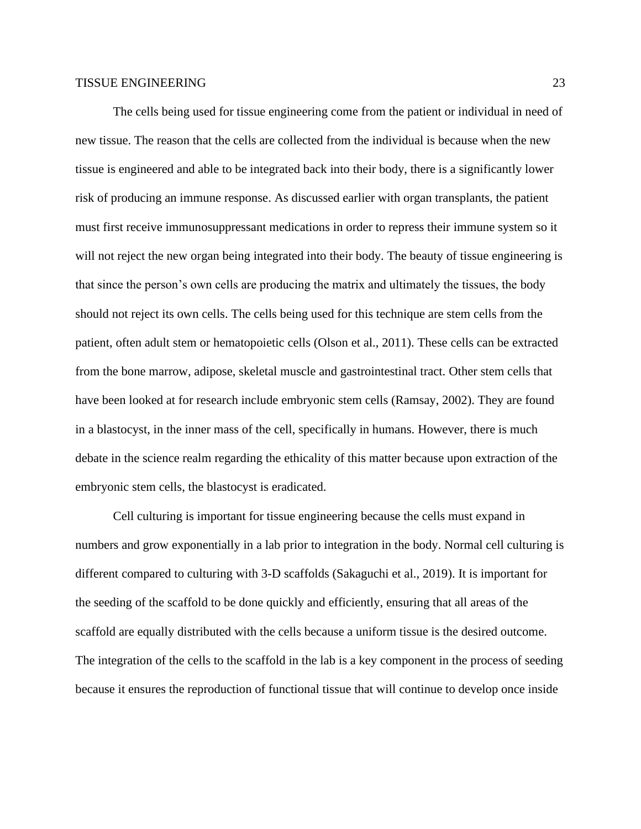The cells being used for tissue engineering come from the patient or individual in need of new tissue. The reason that the cells are collected from the individual is because when the new tissue is engineered and able to be integrated back into their body, there is a significantly lower risk of producing an immune response. As discussed earlier with organ transplants, the patient must first receive immunosuppressant medications in order to repress their immune system so it will not reject the new organ being integrated into their body. The beauty of tissue engineering is that since the person's own cells are producing the matrix and ultimately the tissues, the body should not reject its own cells. The cells being used for this technique are stem cells from the patient, often adult stem or hematopoietic cells (Olson et al., 2011). These cells can be extracted from the bone marrow, adipose, skeletal muscle and gastrointestinal tract. Other stem cells that have been looked at for research include embryonic stem cells (Ramsay, 2002). They are found in a blastocyst, in the inner mass of the cell, specifically in humans. However, there is much debate in the science realm regarding the ethicality of this matter because upon extraction of the embryonic stem cells, the blastocyst is eradicated.

Cell culturing is important for tissue engineering because the cells must expand in numbers and grow exponentially in a lab prior to integration in the body. Normal cell culturing is different compared to culturing with 3-D scaffolds (Sakaguchi et al., 2019). It is important for the seeding of the scaffold to be done quickly and efficiently, ensuring that all areas of the scaffold are equally distributed with the cells because a uniform tissue is the desired outcome. The integration of the cells to the scaffold in the lab is a key component in the process of seeding because it ensures the reproduction of functional tissue that will continue to develop once inside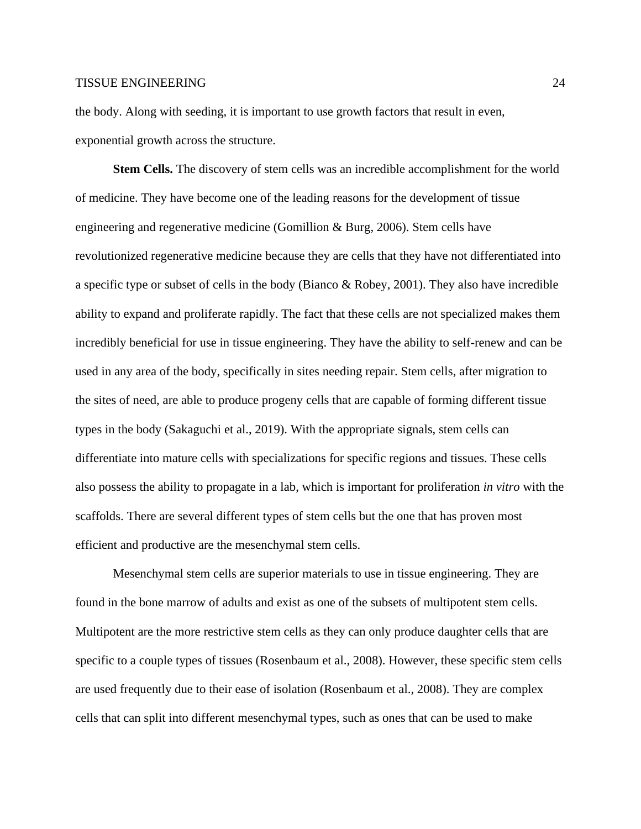the body. Along with seeding, it is important to use growth factors that result in even, exponential growth across the structure.

**Stem Cells.** The discovery of stem cells was an incredible accomplishment for the world of medicine. They have become one of the leading reasons for the development of tissue engineering and regenerative medicine (Gomillion & Burg, 2006). Stem cells have revolutionized regenerative medicine because they are cells that they have not differentiated into a specific type or subset of cells in the body (Bianco & Robey, 2001). They also have incredible ability to expand and proliferate rapidly. The fact that these cells are not specialized makes them incredibly beneficial for use in tissue engineering. They have the ability to self-renew and can be used in any area of the body, specifically in sites needing repair. Stem cells, after migration to the sites of need, are able to produce progeny cells that are capable of forming different tissue types in the body (Sakaguchi et al., 2019). With the appropriate signals, stem cells can differentiate into mature cells with specializations for specific regions and tissues. These cells also possess the ability to propagate in a lab, which is important for proliferation *in vitro* with the scaffolds. There are several different types of stem cells but the one that has proven most efficient and productive are the mesenchymal stem cells.

Mesenchymal stem cells are superior materials to use in tissue engineering. They are found in the bone marrow of adults and exist as one of the subsets of multipotent stem cells. Multipotent are the more restrictive stem cells as they can only produce daughter cells that are specific to a couple types of tissues (Rosenbaum et al., 2008). However, these specific stem cells are used frequently due to their ease of isolation (Rosenbaum et al., 2008). They are complex cells that can split into different mesenchymal types, such as ones that can be used to make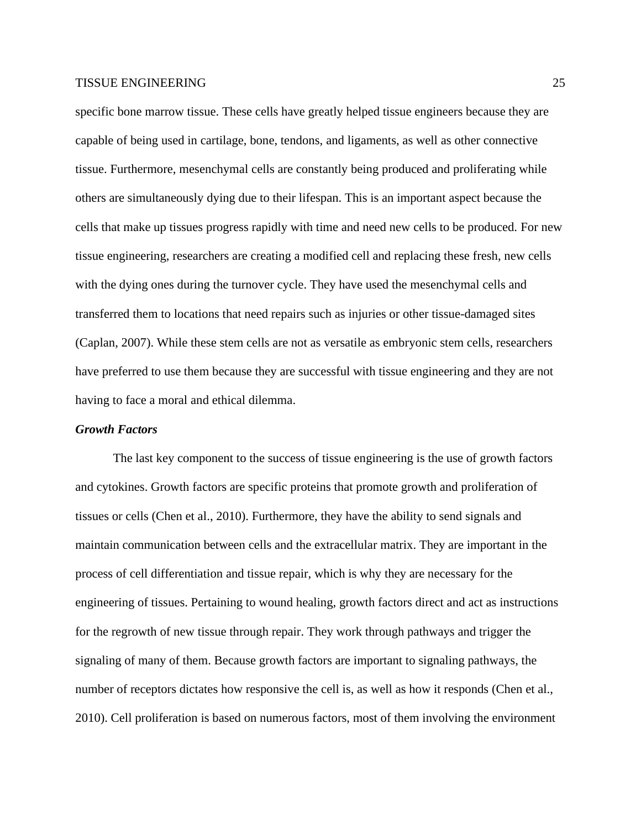specific bone marrow tissue. These cells have greatly helped tissue engineers because they are capable of being used in cartilage, bone, tendons, and ligaments, as well as other connective tissue. Furthermore, mesenchymal cells are constantly being produced and proliferating while others are simultaneously dying due to their lifespan. This is an important aspect because the cells that make up tissues progress rapidly with time and need new cells to be produced. For new tissue engineering, researchers are creating a modified cell and replacing these fresh, new cells with the dying ones during the turnover cycle. They have used the mesenchymal cells and transferred them to locations that need repairs such as injuries or other tissue-damaged sites (Caplan, 2007). While these stem cells are not as versatile as embryonic stem cells, researchers have preferred to use them because they are successful with tissue engineering and they are not having to face a moral and ethical dilemma.

#### *Growth Factors*

The last key component to the success of tissue engineering is the use of growth factors and cytokines. Growth factors are specific proteins that promote growth and proliferation of tissues or cells (Chen et al., 2010). Furthermore, they have the ability to send signals and maintain communication between cells and the extracellular matrix. They are important in the process of cell differentiation and tissue repair, which is why they are necessary for the engineering of tissues. Pertaining to wound healing, growth factors direct and act as instructions for the regrowth of new tissue through repair. They work through pathways and trigger the signaling of many of them. Because growth factors are important to signaling pathways, the number of receptors dictates how responsive the cell is, as well as how it responds (Chen et al., 2010). Cell proliferation is based on numerous factors, most of them involving the environment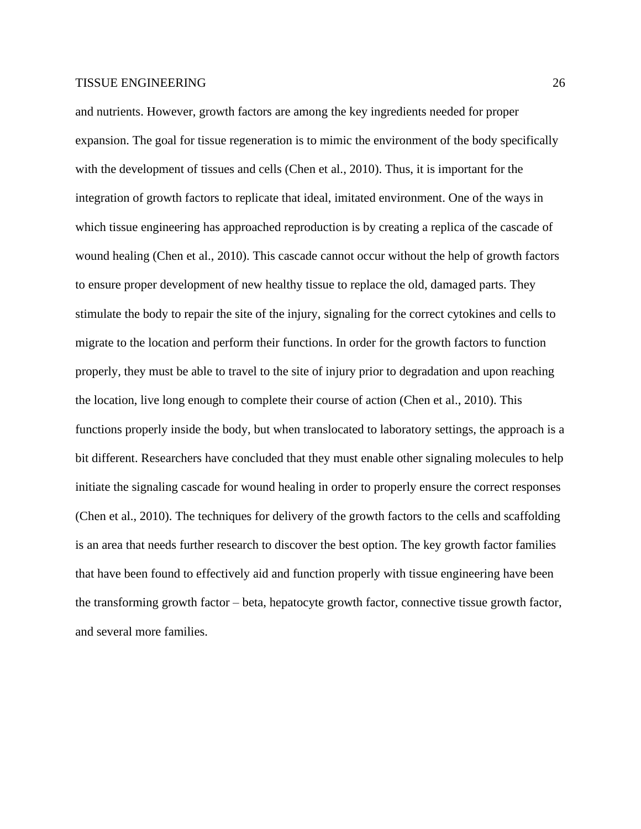and nutrients. However, growth factors are among the key ingredients needed for proper expansion. The goal for tissue regeneration is to mimic the environment of the body specifically with the development of tissues and cells (Chen et al., 2010). Thus, it is important for the integration of growth factors to replicate that ideal, imitated environment. One of the ways in which tissue engineering has approached reproduction is by creating a replica of the cascade of wound healing (Chen et al., 2010). This cascade cannot occur without the help of growth factors to ensure proper development of new healthy tissue to replace the old, damaged parts. They stimulate the body to repair the site of the injury, signaling for the correct cytokines and cells to migrate to the location and perform their functions. In order for the growth factors to function properly, they must be able to travel to the site of injury prior to degradation and upon reaching the location, live long enough to complete their course of action (Chen et al., 2010). This functions properly inside the body, but when translocated to laboratory settings, the approach is a bit different. Researchers have concluded that they must enable other signaling molecules to help initiate the signaling cascade for wound healing in order to properly ensure the correct responses (Chen et al., 2010). The techniques for delivery of the growth factors to the cells and scaffolding is an area that needs further research to discover the best option. The key growth factor families that have been found to effectively aid and function properly with tissue engineering have been the transforming growth factor – beta, hepatocyte growth factor, connective tissue growth factor, and several more families.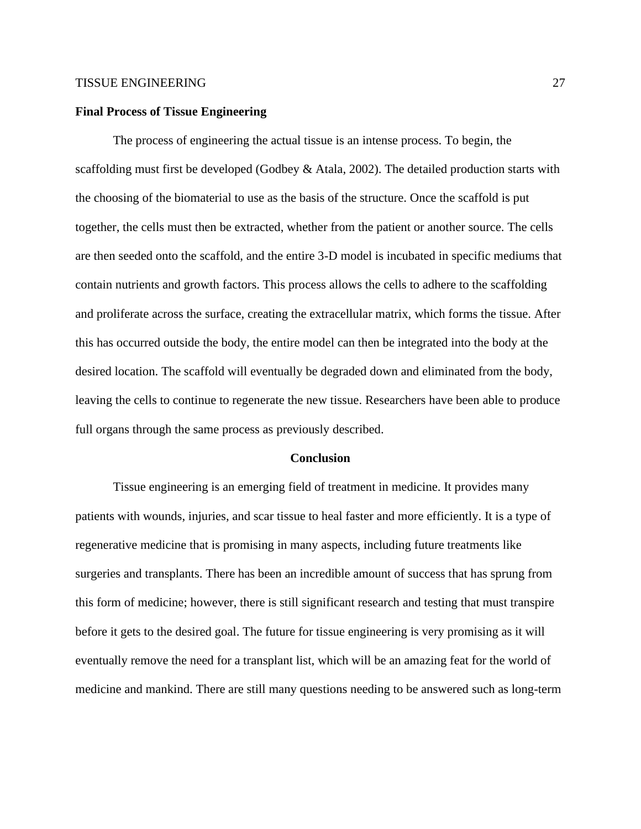# **Final Process of Tissue Engineering**

The process of engineering the actual tissue is an intense process. To begin, the scaffolding must first be developed (Godbey & Atala, 2002). The detailed production starts with the choosing of the biomaterial to use as the basis of the structure. Once the scaffold is put together, the cells must then be extracted, whether from the patient or another source. The cells are then seeded onto the scaffold, and the entire 3-D model is incubated in specific mediums that contain nutrients and growth factors. This process allows the cells to adhere to the scaffolding and proliferate across the surface, creating the extracellular matrix, which forms the tissue. After this has occurred outside the body, the entire model can then be integrated into the body at the desired location. The scaffold will eventually be degraded down and eliminated from the body, leaving the cells to continue to regenerate the new tissue. Researchers have been able to produce full organs through the same process as previously described.

#### **Conclusion**

Tissue engineering is an emerging field of treatment in medicine. It provides many patients with wounds, injuries, and scar tissue to heal faster and more efficiently. It is a type of regenerative medicine that is promising in many aspects, including future treatments like surgeries and transplants. There has been an incredible amount of success that has sprung from this form of medicine; however, there is still significant research and testing that must transpire before it gets to the desired goal. The future for tissue engineering is very promising as it will eventually remove the need for a transplant list, which will be an amazing feat for the world of medicine and mankind. There are still many questions needing to be answered such as long-term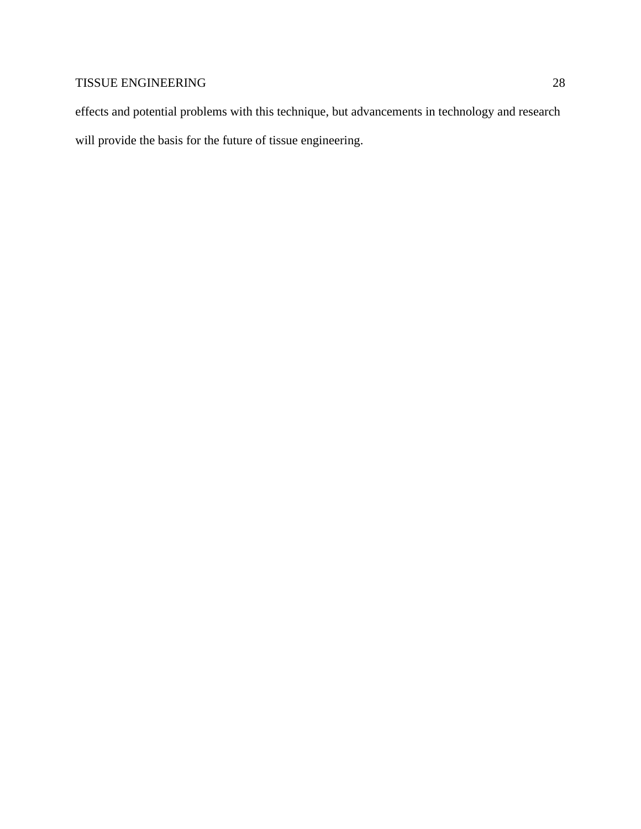effects and potential problems with this technique, but advancements in technology and research will provide the basis for the future of tissue engineering.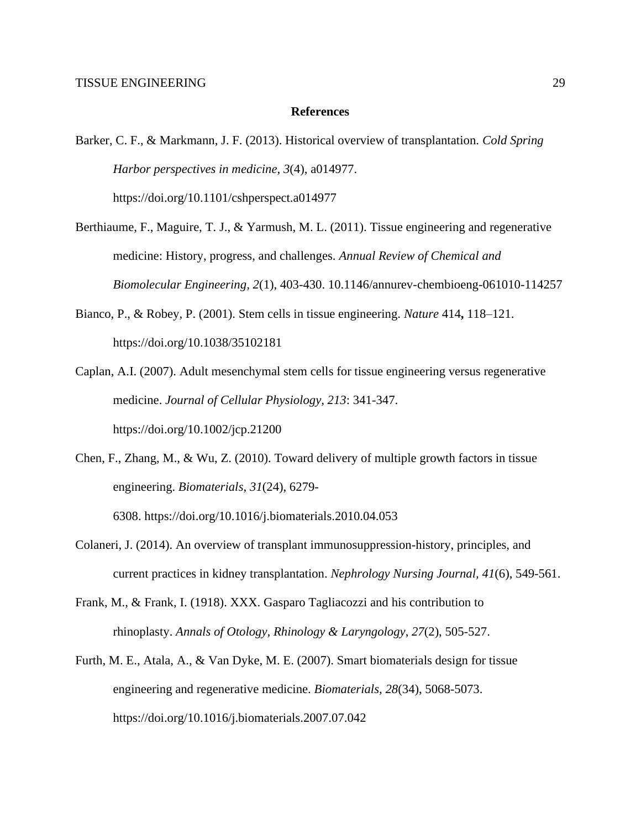# **References**

- Barker, C. F., & Markmann, J. F. (2013). Historical overview of transplantation. *Cold Spring Harbor perspectives in medicine*, *3*(4), a014977. https://doi.org/10.1101/cshperspect.a014977
- Berthiaume, F., Maguire, T. J., & Yarmush, M. L. (2011). Tissue engineering and regenerative medicine: History, progress, and challenges. *Annual Review of Chemical and Biomolecular Engineering, 2*(1), 403-430. 10.1146/annurev-chembioeng-061010-114257
- Bianco, P., & Robey, P. (2001). Stem cells in tissue engineering. *Nature* 414**,** 118–121. https://doi.org/10.1038/35102181
- Caplan, A.I. (2007). Adult mesenchymal stem cells for tissue engineering versus regenerative medicine. *Journal of Cellular Physiology, 213*: 341-347. <https://doi.org/10.1002/jcp.21200>
- Chen, F., Zhang, M., & Wu, Z. (2010). Toward delivery of multiple growth factors in tissue engineering. *Biomaterials, 31*(24), 6279-

6308. <https://doi.org/10.1016/j.biomaterials.2010.04.053>

- Colaneri, J. (2014). An overview of transplant immunosuppression-history, principles, and current practices in kidney transplantation. *Nephrology Nursing Journal, 41*(6), 549-561.
- Frank, M., & Frank, I. (1918). XXX. Gasparo Tagliacozzi and his contribution to rhinoplasty. *Annals of Otology, Rhinology & Laryngology*, *27*(2), 505-527.
- Furth, M. E., Atala, A., & Van Dyke, M. E. (2007). Smart biomaterials design for tissue engineering and regenerative medicine. *Biomaterials, 28*(34), 5068-5073. <https://doi.org/10.1016/j.biomaterials.2007.07.042>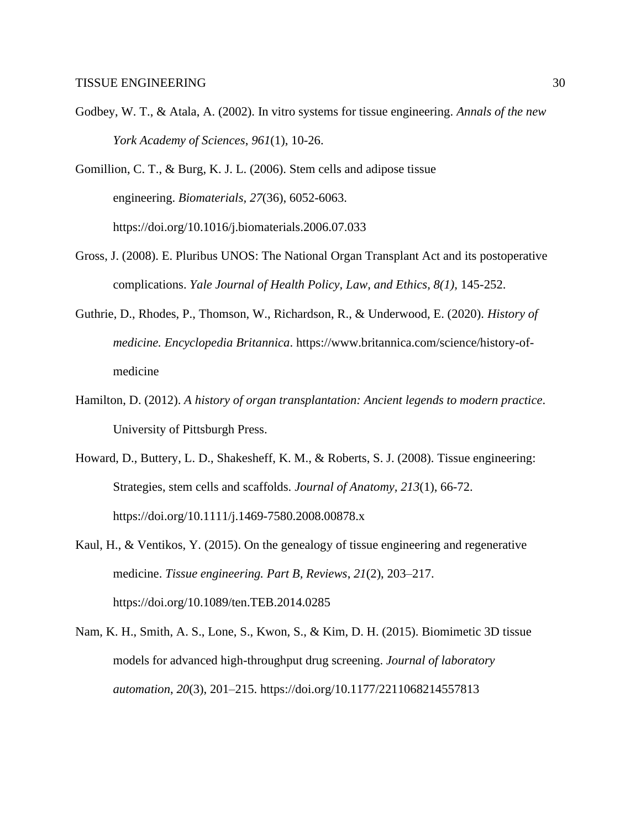Godbey, W. T., & Atala, A. (2002). In vitro systems for tissue engineering. *Annals of the new York Academy of Sciences*, *961*(1), 10-26.

Gomillion, C. T., & Burg, K. J. L. (2006). Stem cells and adipose tissue engineering. *Biomaterials, 27*(36), 6052-6063. <https://doi.org/10.1016/j.biomaterials.2006.07.033>

- Gross, J. (2008). E. Pluribus UNOS: The National Organ Transplant Act and its postoperative complications. *Yale Journal of Health Policy, Law, and Ethics, 8(1),* 145-252.
- Guthrie, D., Rhodes, P., Thomson, W., Richardson, R., & Underwood, E. (2020). *History of medicine. Encyclopedia Britannica*. [https://www.britannica.com/science/history-of](https://www.britannica.com/science/history-of-medicine)[medicine](https://www.britannica.com/science/history-of-medicine)
- Hamilton, D. (2012). *A history of organ transplantation: Ancient legends to modern practice*. University of Pittsburgh Press.
- Howard, D., Buttery, L. D., Shakesheff, K. M., & Roberts, S. J. (2008). Tissue engineering: Strategies, stem cells and scaffolds. *Journal of Anatomy, 213*(1), 66-72. <https://doi.org/10.1111/j.1469-7580.2008.00878.x>
- Kaul, H., & Ventikos, Y. (2015). On the genealogy of tissue engineering and regenerative medicine. *Tissue engineering. Part B, Reviews*, *21*(2), 203–217. https://doi.org/10.1089/ten.TEB.2014.0285
- Nam, K. H., Smith, A. S., Lone, S., Kwon, S., & Kim, D. H. (2015). Biomimetic 3D tissue models for advanced high-throughput drug screening. *Journal of laboratory automation*, *20*(3), 201–215. https://doi.org/10.1177/2211068214557813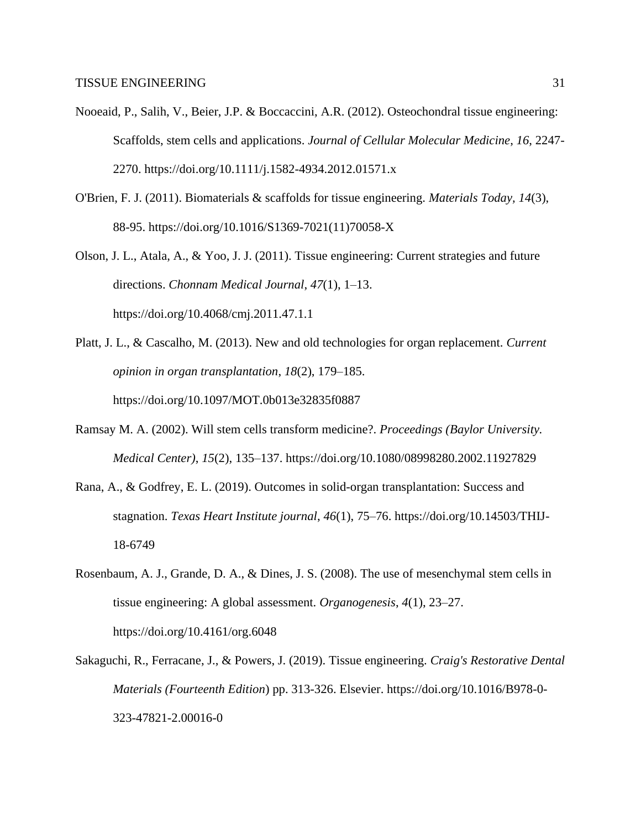- Nooeaid, P., Salih, V., Beier, J.P. & Boccaccini, A.R. (2012). Osteochondral tissue engineering: Scaffolds, stem cells and applications. *Journal of Cellular Molecular Medicine*, *16*, 2247- 2270. <https://doi.org/10.1111/j.1582-4934.2012.01571.x>
- O'Brien, F. J. (2011). Biomaterials & scaffolds for tissue engineering. *Materials Today, 14*(3), 88-95. [https://doi.org/10.1016/S1369-7021\(11\)70058-X](https://doi.org/10.1016/S1369-7021(11)70058-X)
- Olson, J. L., Atala, A., & Yoo, J. J. (2011). Tissue engineering: Current strategies and future directions. *Chonnam Medical Journal*, *47*(1), 1–13. <https://doi.org/10.4068/cmj.2011.47.1.1>
- Platt, J. L., & Cascalho, M. (2013). New and old technologies for organ replacement. *Current opinion in organ transplantation*, *18*(2), 179–185. https://doi.org/10.1097/MOT.0b013e32835f0887
- Ramsay M. A. (2002). Will stem cells transform medicine?. *Proceedings (Baylor University. Medical Center)*, *15*(2), 135–137. https://doi.org/10.1080/08998280.2002.11927829
- Rana, A., & Godfrey, E. L. (2019). Outcomes in solid-organ transplantation: Success and stagnation. *Texas Heart Institute journal*, *46*(1), 75–76. [https://doi.org/10.14503/THIJ-](https://doi.org/10.14503/THIJ-18-6749)[18-6749](https://doi.org/10.14503/THIJ-18-6749)
- Rosenbaum, A. J., Grande, D. A., & Dines, J. S. (2008). The use of mesenchymal stem cells in tissue engineering: A global assessment. *Organogenesis*, *4*(1), 23–27. https://doi.org/10.4161/org.6048
- Sakaguchi, R., Ferracane, J., & Powers, J. (2019). Tissue engineering. *Craig's Restorative Dental Materials (Fourteenth Edition*) pp. 313-326. Elsevier. [https://doi.org/10.1016/B978-0-](https://doi.org/10.1016/B978-0-323-47821-2.00016-0) [323-47821-2.00016-0](https://doi.org/10.1016/B978-0-323-47821-2.00016-0)